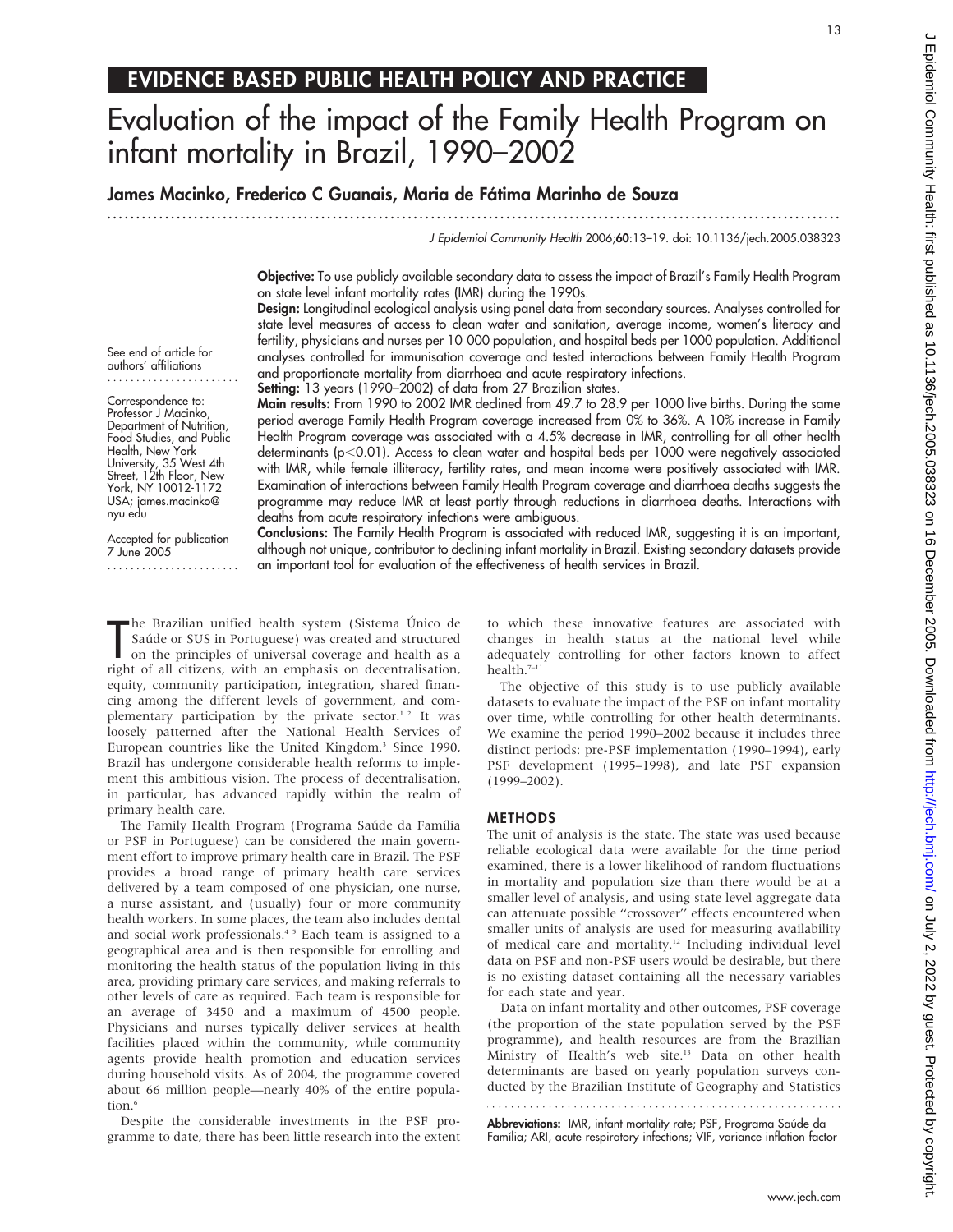# EVIDENCE BASED PUBLIC HEALTH POLICY AND PRACTICE

# Evaluation of the impact of the Family Health Program on infant mortality in Brazil, 1990–2002

James Macinko, Frederico C Guanais, Maria de Fátima Marinho de Souza

...............................................................................................................................

J Epidemiol Community Health 2006;60:13–19. doi: 10.1136/jech.2005.038323

Objective: To use publicly available secondary data to assess the impact of Brazil's Family Health Program on state level infant mortality rates (IMR) during the 1990s.

Design: Longitudinal ecological analysis using panel data from secondary sources. Analyses controlled for state level measures of access to clean water and sanitation, average income, women's literacy and fertility, physicians and nurses per 10 000 population, and hospital beds per 1000 population. Additional analyses controlled for immunisation coverage and tested interactions between Family Health Program and proportionate mortality from diarrhoea and acute respiratory infections. Setting: 13 years (1990-2002) of data from 27 Brazilian states.

Main results: From 1990 to 2002 IMR declined from 49.7 to 28.9 per 1000 live births. During the same period average Family Health Program coverage increased from 0% to 36%. A 10% increase in Family Health Program coverage was associated with a 4.5% decrease in IMR, controlling for all other health determinants (p<0.01). Access to clean water and hospital beds per 1000 were negatively associated with IMR, while female illiteracy, fertility rates, and mean income were positively associated with IMR. Examination of interactions between Family Health Program coverage and diarrhoea deaths suggests the

See end of article for authors' affiliations .......................

Correspondence to: Professor J Macinko, Department of Nutrition, Food Studies, and Public Health, New York University, 35 West 4th Street, 12th Floor, New York, NY 10012-1172 USA; james.macinko@ nyu.edu

Accepted for publication 7 June 2005 ....................... programme may reduce IMR at least partly through reductions in diarrhoea deaths. Interactions with deaths from acute respiratory infections were ambiguous. Conclusions: The Family Health Program is associated with reduced IMR, suggesting it is an important, although not unique, contributor to declining infant mortality in Brazil. Existing secondary datasets provide an important tool for evaluation of the effectiveness of health services in Brazil.

The Brazilian unified health system (Sistema Unico de Saúde or SUS in Portuguese) was created and structured on the principles of universal coverage and health as a right of all citizens, with an emphasis on decentralisati he Brazilian unified health system (Sistema Único de Saúde or SUS in Portuguese) was created and structured on the principles of universal coverage and health as a equity, community participation, integration, shared financing among the different levels of government, and complementary participation by the private sector.<sup>12</sup> It was loosely patterned after the National Health Services of European countries like the United Kingdom.<sup>3</sup> Since 1990, Brazil has undergone considerable health reforms to implement this ambitious vision. The process of decentralisation, in particular, has advanced rapidly within the realm of primary health care.

The Family Health Program (Programa Saúde da Família or PSF in Portuguese) can be considered the main government effort to improve primary health care in Brazil. The PSF provides a broad range of primary health care services delivered by a team composed of one physician, one nurse, a nurse assistant, and (usually) four or more community health workers. In some places, the team also includes dental and social work professionals.<sup>45</sup> Each team is assigned to a geographical area and is then responsible for enrolling and monitoring the health status of the population living in this area, providing primary care services, and making referrals to other levels of care as required. Each team is responsible for an average of 3450 and a maximum of 4500 people. Physicians and nurses typically deliver services at health facilities placed within the community, while community agents provide health promotion and education services during household visits. As of 2004, the programme covered about 66 million people—nearly 40% of the entire population<sup>6</sup>

Despite the considerable investments in the PSF programme to date, there has been little research into the extent to which these innovative features are associated with changes in health status at the national level while adequately controlling for other factors known to affect health.7–11

The objective of this study is to use publicly available datasets to evaluate the impact of the PSF on infant mortality over time, while controlling for other health determinants. We examine the period 1990–2002 because it includes three distinct periods: pre-PSF implementation (1990–1994), early PSF development (1995–1998), and late PSF expansion (1999–2002).

## **METHODS**

The unit of analysis is the state. The state was used because reliable ecological data were available for the time period examined, there is a lower likelihood of random fluctuations in mortality and population size than there would be at a smaller level of analysis, and using state level aggregate data can attenuate possible ''crossover'' effects encountered when smaller units of analysis are used for measuring availability of medical care and mortality.<sup>12</sup> Including individual level data on PSF and non-PSF users would be desirable, but there is no existing dataset containing all the necessary variables for each state and year.

Data on infant mortality and other outcomes, PSF coverage (the proportion of the state population served by the PSF programme), and health resources are from the Brazilian Ministry of Health's web site.13 Data on other health determinants are based on yearly population surveys conducted by the Brazilian Institute of Geography and Statistics 

Abbreviations: IMR, infant mortality rate; PSF, Programa Saúde da Família; ARI, acute respiratory infections; VIF, variance inflation factor

13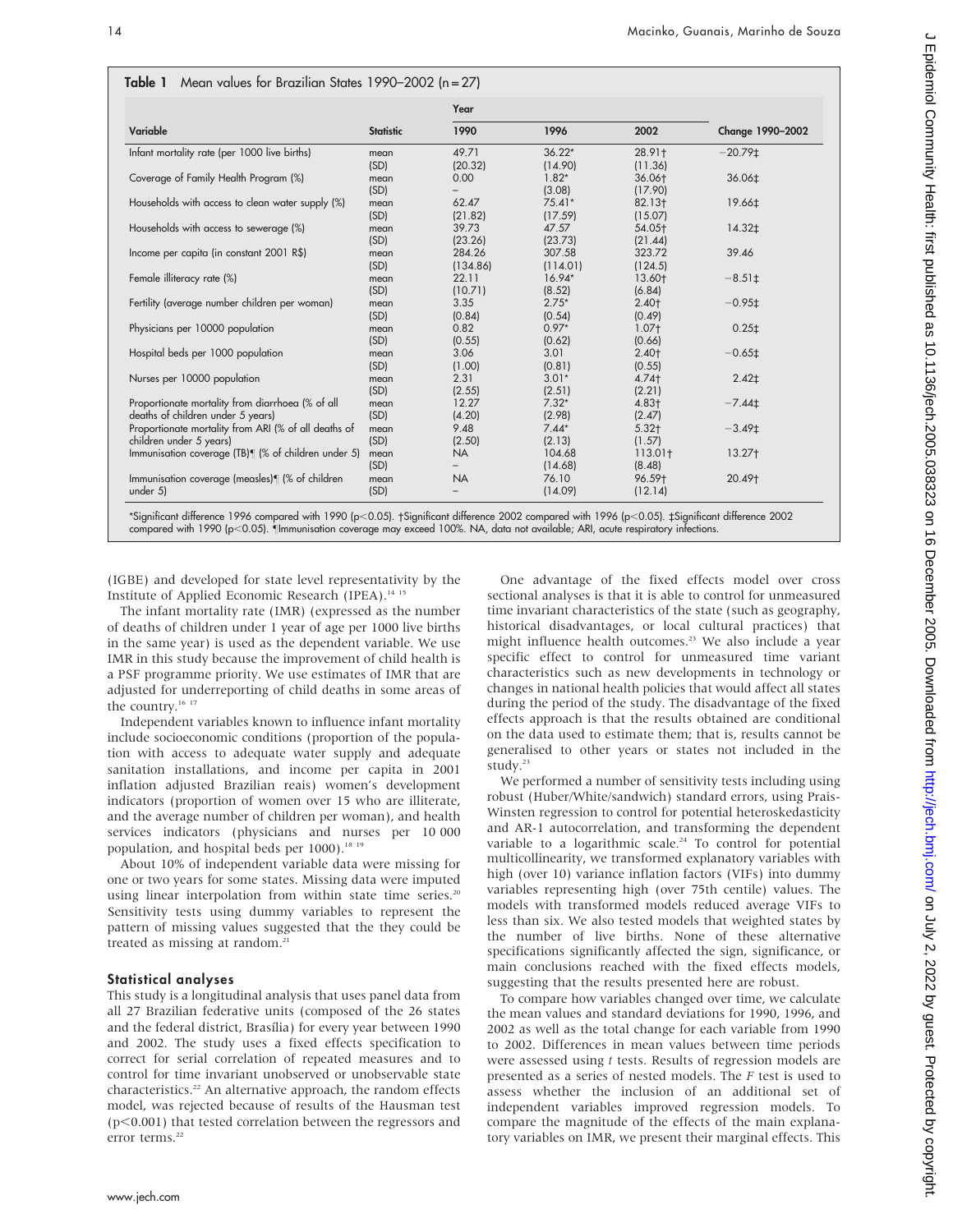|                                                      |                  | Year                     |          |           |                         |
|------------------------------------------------------|------------------|--------------------------|----------|-----------|-------------------------|
| Variable                                             | <b>Statistic</b> | 1990                     | 1996     | 2002      | <b>Change 1990-2002</b> |
| Infant mortality rate (per 1000 live births)         | mean             | 49.71                    | $36.22*$ | 28.91+    | $-20.79$ ±              |
|                                                      | (SD)             | (20.32)                  | (14.90)  | (11.36)   |                         |
| Coverage of Family Health Program (%)                | mean             | 0.00                     | $1.82*$  | 36.06+    | 36.06‡                  |
|                                                      | (SD)             |                          | (3.08)   | (17.90)   |                         |
| Households with access to clean water supply (%)     | mean             | 62.47                    | $75.41*$ | $82.13 +$ | 19.66‡                  |
|                                                      | (SD)             | (21.82)                  | (17.59)  | (15.07)   |                         |
| Households with access to sewerage (%)               | mean             | 39.73                    | 47.57    | 54.05+    | 14.32‡                  |
|                                                      | (SD)             | (23.26)                  | (23.73)  | (21.44)   |                         |
| Income per capita (in constant 2001 R\$)             | mean             | 284.26                   | 307.58   | 323.72    | 39.46                   |
|                                                      | (SD)             | (134.86)                 | (114.01) | (124.5)   |                         |
| Female illiteracy rate (%)                           | mean             | 22.11                    | $16.94*$ | 13.60+    | $-8.51 \pm$             |
|                                                      | (SD)             | (10.71)                  | (8.52)   | (6.84)    |                         |
| Fertility (average number children per woman)        | mean             | 3.35                     | $2.75*$  | $2.40 +$  | $-0.95$ ‡               |
|                                                      | (SD)             | (0.84)                   | (0.54)   | (0.49)    |                         |
| Physicians per 10000 population                      | mean             | 0.82                     | $0.97*$  | $1.07+$   | $0.25$ ‡                |
|                                                      | (SD)             | (0.55)                   | (0.62)   | (0.66)    |                         |
| Hospital beds per 1000 population                    | mean             | 3.06                     | 3.01     | $2.40+$   | $-0.65$ ‡               |
|                                                      | (SD)             | (1.00)                   | (0.81)   | (0.55)    |                         |
| Nurses per 10000 population                          | mean             | 2.31                     | $3.01*$  | 4.74      | $2.42+$                 |
|                                                      | (SD)             | (2.55)                   | (2.51)   | (2.21)    |                         |
| Proportionate mortality from diarrhoea (% of all     | mean             | 12.27                    | $7.32*$  | $4.83 +$  | $-7.44‡$                |
| deaths of children under 5 years)                    | (SD)             | (4.20)                   | (2.98)   | (2.47)    |                         |
| Proportionate mortality from ARI (% of all deaths of | mean             | 9.48                     | $7.44*$  | $5.32 +$  | $-3.49‡$                |
| children under 5 years)                              | (SD)             | (2.50)                   | (2.13)   | (1.57)    |                         |
| Immunisation coverage (TB)¶ (% of children under 5)  | mean             | <b>NA</b>                | 104.68   | $113.01+$ | $13.27+$                |
|                                                      | (SD)             |                          | (14.68)  | (8.48)    |                         |
| Immunisation coverage (measles)¶ (% of children      | mean             | <b>NA</b>                | 76.10    | 96.59+    | 20.49+                  |
| under 5)                                             | (SD)             | $\overline{\phantom{0}}$ | (14.09)  | (12.14)   |                         |

\*Significant difference 1996 compared with 1990 (p<0.05). †Significant difference 2002 compared with 1996 (p<0.05). ‡Significant difference 2002 compared with 1990 (p<0.05). ¶Immunisation coverage may exceed 100%. NA, data not available; ARI, acute respiratory infections.

(IGBE) and developed for state level representativity by the Institute of Applied Economic Research (IPEA).14 15

The infant mortality rate (IMR) (expressed as the number of deaths of children under 1 year of age per 1000 live births in the same year) is used as the dependent variable. We use IMR in this study because the improvement of child health is a PSF programme priority. We use estimates of IMR that are adjusted for underreporting of child deaths in some areas of the country.<sup>16 17</sup>

Independent variables known to influence infant mortality include socioeconomic conditions (proportion of the population with access to adequate water supply and adequate sanitation installations, and income per capita in 2001 inflation adjusted Brazilian reais) women's development indicators (proportion of women over 15 who are illiterate, and the average number of children per woman), and health services indicators (physicians and nurses per 10 000 population, and hospital beds per 1000).<sup>18 19</sup>

About 10% of independent variable data were missing for one or two years for some states. Missing data were imputed using linear interpolation from within state time series.<sup>20</sup> Sensitivity tests using dummy variables to represent the pattern of missing values suggested that the they could be treated as missing at random.<sup>21</sup>

#### Statistical analyses

This study is a longitudinal analysis that uses panel data from all 27 Brazilian federative units (composed of the 26 states and the federal district, Brasília) for every year between 1990 and 2002. The study uses a fixed effects specification to correct for serial correlation of repeated measures and to control for time invariant unobserved or unobservable state characteristics.<sup>22</sup> An alternative approach, the random effects model, was rejected because of results of the Hausman test  $(p<0.001)$  that tested correlation between the regressors and error terms.<sup>22</sup>

One advantage of the fixed effects model over cross sectional analyses is that it is able to control for unmeasured time invariant characteristics of the state (such as geography, historical disadvantages, or local cultural practices) that might influence health outcomes.<sup>23</sup> We also include a year specific effect to control for unmeasured time variant characteristics such as new developments in technology or changes in national health policies that would affect all states during the period of the study. The disadvantage of the fixed effects approach is that the results obtained are conditional on the data used to estimate them; that is, results cannot be generalised to other years or states not included in the study.<sup>23</sup>

We performed a number of sensitivity tests including using robust (Huber/White/sandwich) standard errors, using Prais-Winsten regression to control for potential heteroskedasticity and AR-1 autocorrelation, and transforming the dependent variable to a logarithmic scale.<sup>24</sup> To control for potential multicollinearity, we transformed explanatory variables with high (over 10) variance inflation factors (VIFs) into dummy variables representing high (over 75th centile) values. The models with transformed models reduced average VIFs to less than six. We also tested models that weighted states by the number of live births. None of these alternative specifications significantly affected the sign, significance, or main conclusions reached with the fixed effects models, suggesting that the results presented here are robust.

To compare how variables changed over time, we calculate the mean values and standard deviations for 1990, 1996, and 2002 as well as the total change for each variable from 1990 to 2002. Differences in mean values between time periods were assessed using  $t$  tests. Results of regression models are presented as a series of nested models. The F test is used to assess whether the inclusion of an additional set of independent variables improved regression models. To compare the magnitude of the effects of the main explanatory variables on IMR, we present their marginal effects. This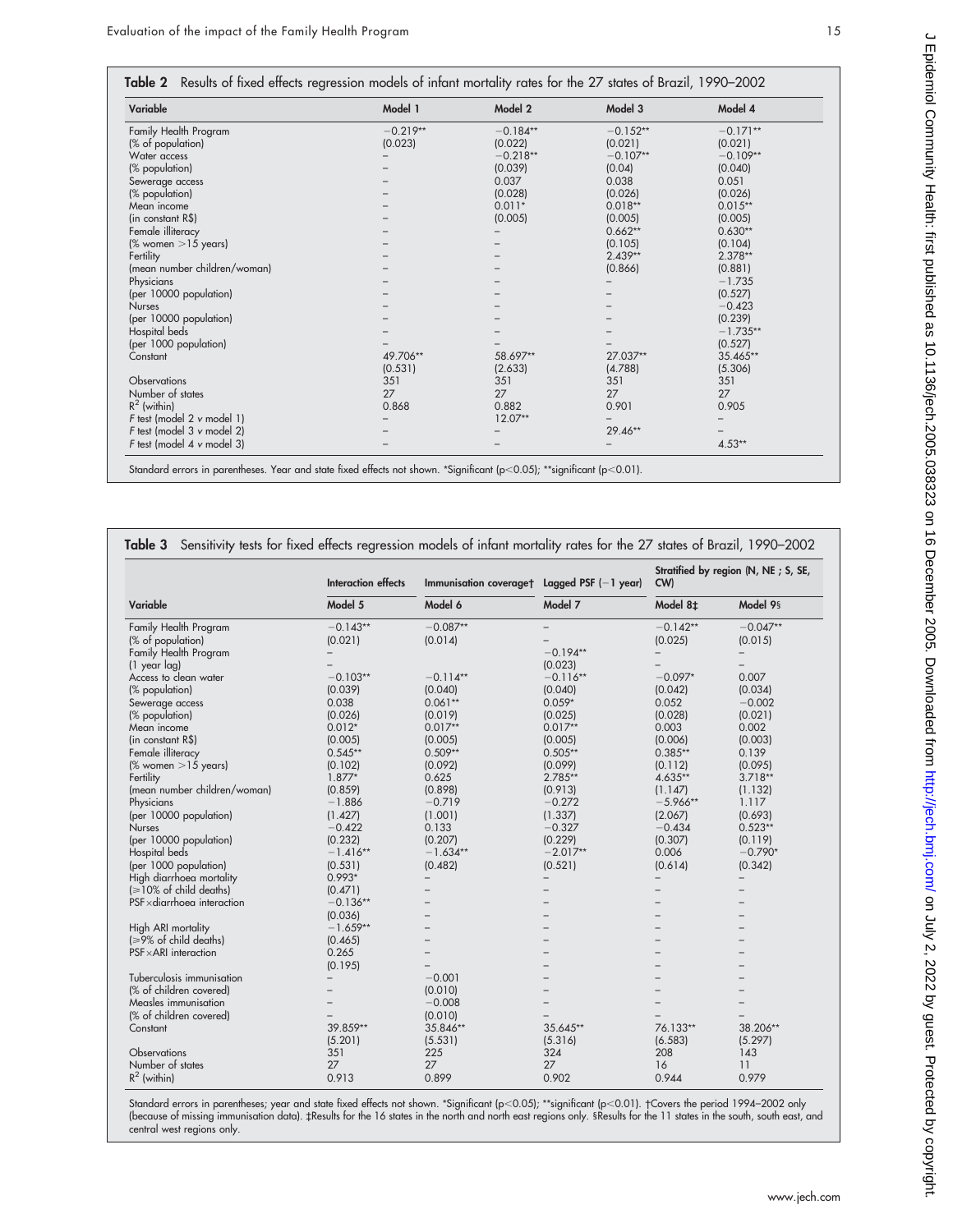| Variable                       | Model 1    | Model 2    | Model 3    | Model 4                  |
|--------------------------------|------------|------------|------------|--------------------------|
| Family Health Program          | $-0.219**$ | $-0.184**$ | $-0.152**$ | $-0.171**$               |
| (% of population)              | (0.023)    | (0.022)    | (0.021)    | (0.021)                  |
| Water access                   |            | $-0.218**$ | $-0.107**$ | $-0.109**$               |
| (% population)                 |            | (0.039)    | (0.04)     | (0.040)                  |
| Sewerage access                |            | 0.037      | 0.038      | 0.051                    |
| (% population)                 |            | (0.028)    | (0.026)    | (0.026)                  |
| Mean income                    |            | $0.011*$   | $0.018**$  | $0.015**$                |
| (in constant R\$)              |            | (0.005)    | (0.005)    | (0.005)                  |
| Female illiteracy              |            |            | $0.662**$  | $0.630**$                |
| (% women $>15$ years)          |            |            | (0.105)    | (0.104)                  |
| Fertility                      |            |            | $2.439**$  | $2.378**$                |
| (mean number children/woman)   |            |            | (0.866)    | (0.881)                  |
| Physicians                     |            |            |            | $-1.735$                 |
| (per 10000 population)         |            |            |            | (0.527)                  |
| <b>Nurses</b>                  |            |            |            | $-0.423$                 |
| (per 10000 population)         |            |            |            | (0.239)                  |
| Hospital beds                  |            |            |            | $-1.735**$               |
| (per 1000 population)          |            |            |            | (0.527)                  |
| Constant                       | 49.706**   | 58.697**   | 27.037**   | 35.465**                 |
|                                | (0.531)    | (2.633)    | (4.788)    | (5.306)                  |
| Observations                   | 351        | 351        | 351        | 351                      |
| Number of states               | 27         | 27         | 27         | 27                       |
| $R^2$ (within)                 | 0.868      | 0.882      | 0.901      | 0.905                    |
| $F$ test (model 2 $v$ model 1) |            | $12.07**$  |            | $\overline{\phantom{0}}$ |
| $F$ test (model 3 $v$ model 2) |            |            | 29.46**    |                          |
| F test (model 4 v model 3)     |            |            |            | $4.53**$                 |

|                                | <b>Interaction effects</b><br>Model 5 | Immunisation coveraget Lagged PSF $(-1 \text{ year})$<br>Model 6 | Model 7                                              | Stratified by region (N, NE; S, SE,<br>CW) |                     |
|--------------------------------|---------------------------------------|------------------------------------------------------------------|------------------------------------------------------|--------------------------------------------|---------------------|
| Variable                       |                                       |                                                                  |                                                      | Model 8 <sup>±</sup>                       | Model 9§            |
| Family Health Program          | $-0.143**$                            | $-0.087**$                                                       | $\overline{\phantom{0}}$                             | $-0.142**$                                 | $-0.047**$          |
| (% of population)              | (0.021)                               | (0.014)                                                          |                                                      | (0.025)                                    | (0.015)             |
| Family Health Program          |                                       |                                                                  | $-0.194**$                                           |                                            |                     |
| $(1 \text{ year } \text{lag})$ |                                       |                                                                  | (0.023)                                              | $\qquad \qquad -$                          |                     |
| Access to clean water          | $-0.103**$                            | $-0.114**$                                                       | $-0.116**$                                           | $-0.097*$                                  | 0.007               |
| (% population)                 | (0.039)                               | (0.040)                                                          | (0.040)                                              | (0.042)                                    | (0.034)             |
| Sewerage access                | 0.038                                 | $0.061**$                                                        | $0.059*$                                             | 0.052                                      | $-0.002$            |
| (% population)                 | (0.026)                               | (0.019)                                                          | (0.025)                                              | (0.028)                                    | (0.021)             |
| Mean income                    | $0.012*$                              | $0.017**$                                                        | $0.017**$                                            | 0.003                                      | 0.002               |
| (in constant R\$)              | (0.005)                               | (0.005)                                                          | (0.005)                                              | (0.006)                                    | (0.003)             |
| Female illiteracy              | $0.545**$                             | $0.509**$                                                        | $0.505**$                                            | $0.385**$                                  | 0.139               |
| (% women $>15$ years)          | (0.102)                               | (0.092)                                                          | (0.099)                                              | (0.112)                                    | (0.095)             |
| Fertility                      | $1.877*$                              | 0.625                                                            | $2.785**$                                            | $4.635**$                                  | $3.718**$           |
| (mean number children/woman)   | (0.859)                               | (0.898)                                                          | (0.913)                                              | (1.147)                                    | (1.132)             |
| Physicians                     | $-1.886$                              | $-0.719$                                                         | $-0.272$                                             | $-5.966**$                                 | 1.117               |
| (per 10000 population)         | (1.427)                               | (1.001)                                                          | (1.337)                                              | (2.067)                                    | (0.693)             |
| Nurses                         | $-0.422$                              | 0.133                                                            | $-0.327$                                             | $-0.434$                                   | $0.523**$           |
| (per 10000 population)         | (0.232)                               | (0.207)                                                          | (0.229)                                              | (0.307)                                    | (0.119)             |
| Hospital beds                  | $-1.416**$                            | $-1.634**$                                                       | $-2.017**$                                           | 0.006                                      | $-0.790*$           |
| (per 1000 population)          | (0.531)                               | (0.482)                                                          | (0.521)                                              | (0.614)                                    | (0.342)             |
| High diarrhoea mortality       | $0.993*$                              |                                                                  | $\overline{\phantom{0}}$                             |                                            |                     |
| (≥10% of child deaths)         | (0.471)                               |                                                                  | $\overline{\phantom{0}}$                             |                                            |                     |
| PSF x diarrhoea interaction    | $-0.136**$                            |                                                                  |                                                      |                                            |                     |
|                                | (0.036)                               |                                                                  |                                                      |                                            |                     |
| High ARI mortality             | $-1.659**$                            |                                                                  | $\overline{\phantom{0}}$                             | $\overline{\phantom{0}}$                   |                     |
| $\approx 9\%$ of child deaths) | (0.465)                               |                                                                  | $\overline{\phantom{0}}$                             |                                            |                     |
| PSF x ARI interaction          | 0.265                                 |                                                                  |                                                      |                                            |                     |
|                                |                                       |                                                                  |                                                      |                                            |                     |
|                                | (0.195)                               | $-0.001$                                                         |                                                      |                                            |                     |
| Tuberculosis immunisation      |                                       |                                                                  |                                                      |                                            |                     |
| (% of children covered)        | $\overline{\phantom{0}}$              | (0.010)<br>$-0.008$                                              | $\overline{\phantom{0}}$<br>$\overline{\phantom{0}}$ |                                            |                     |
| Measles immunisation           |                                       |                                                                  |                                                      |                                            |                     |
| (% of children covered)        |                                       | (0.010)                                                          |                                                      |                                            |                     |
| Constant                       | 39.859**<br>(5.201)                   | 35.846**<br>(5.531)                                              | 35.645**<br>(5.316)                                  | 76.133**<br>(6.583)                        | 38.206**<br>(5.297) |
| Observations                   | 351                                   | 225                                                              | 324                                                  | 208                                        | 143                 |
| Number of states               | 27                                    | 27                                                               | 27                                                   | 16                                         | 11                  |
| $R^2$ (within)                 | 0.913                                 | 0.899                                                            | 0.902                                                | 0.944                                      | 0.979               |

Standard errors in parentheses; year and state fixed effects not shown. \*Significant (p<0.05); \*\*significant (p<0.01). †Covers the period 1994–2002 only<br>(because of missing immunisation data). ‡Results for the 16 states in central west regions only.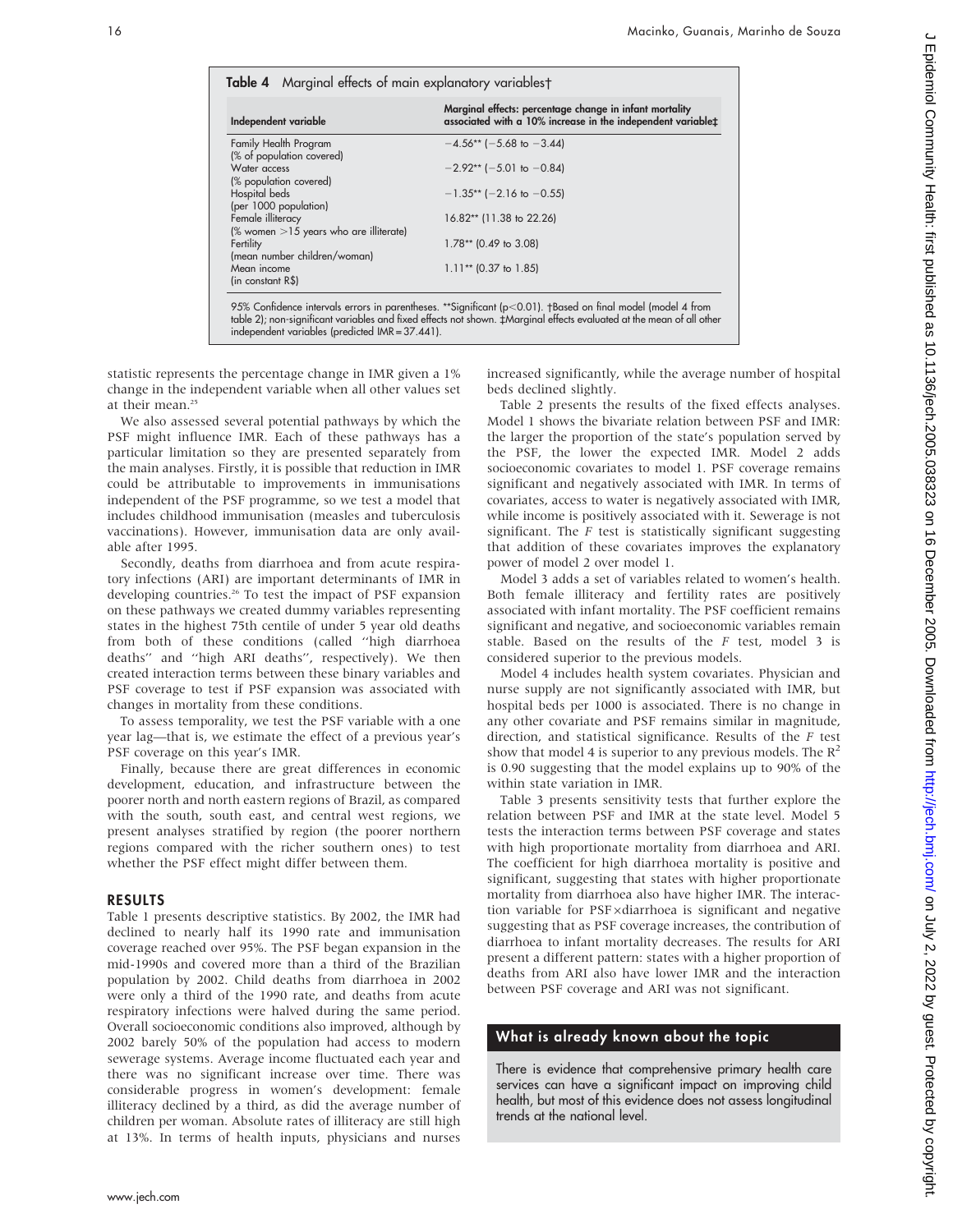| Independent variable                                          | Marginal effects: percentage change in infant mortality<br>associated with a 10% increase in the independent variablet |
|---------------------------------------------------------------|------------------------------------------------------------------------------------------------------------------------|
| Family Health Program<br>(% of population covered)            | $-4.56**$ (-5.68 to -3.44)                                                                                             |
| Water access<br>(% population covered)                        | $-2.92**$ (-5.01 to -0.84)                                                                                             |
| Hospital beds<br>(per 1000 population)                        | $-1.35**$ (-2.16 to -0.55)                                                                                             |
| Female illiteracy<br>(% women $>15$ years who are illiterate) | 16.82** (11.38 to 22.26)                                                                                               |
| Fertility<br>(mean number children/woman)                     | $1.78**$ (0.49 to 3.08)                                                                                                |
| Mean income<br>(in constant R\$)                              | $1.11**$ (0.37 to 1.85)                                                                                                |

statistic represents the percentage change in IMR given a 1% change in the independent variable when all other values set at their mean.<sup>25</sup>

We also assessed several potential pathways by which the PSF might influence IMR. Each of these pathways has a particular limitation so they are presented separately from the main analyses. Firstly, it is possible that reduction in IMR could be attributable to improvements in immunisations independent of the PSF programme, so we test a model that includes childhood immunisation (measles and tuberculosis vaccinations). However, immunisation data are only available after 1995.

Secondly, deaths from diarrhoea and from acute respiratory infections (ARI) are important determinants of IMR in developing countries.<sup>26</sup> To test the impact of PSF expansion on these pathways we created dummy variables representing states in the highest 75th centile of under 5 year old deaths from both of these conditions (called ''high diarrhoea deaths'' and ''high ARI deaths'', respectively). We then created interaction terms between these binary variables and PSF coverage to test if PSF expansion was associated with changes in mortality from these conditions.

To assess temporality, we test the PSF variable with a one year lag—that is, we estimate the effect of a previous year's PSF coverage on this year's IMR.

Finally, because there are great differences in economic development, education, and infrastructure between the poorer north and north eastern regions of Brazil, as compared with the south, south east, and central west regions, we present analyses stratified by region (the poorer northern regions compared with the richer southern ones) to test whether the PSF effect might differ between them.

## RESULTS

Table 1 presents descriptive statistics. By 2002, the IMR had declined to nearly half its 1990 rate and immunisation coverage reached over 95%. The PSF began expansion in the mid-1990s and covered more than a third of the Brazilian population by 2002. Child deaths from diarrhoea in 2002 were only a third of the 1990 rate, and deaths from acute respiratory infections were halved during the same period. Overall socioeconomic conditions also improved, although by 2002 barely 50% of the population had access to modern sewerage systems. Average income fluctuated each year and there was no significant increase over time. There was considerable progress in women's development: female illiteracy declined by a third, as did the average number of children per woman. Absolute rates of illiteracy are still high at 13%. In terms of health inputs, physicians and nurses

increased significantly, while the average number of hospital beds declined slightly.

Table 2 presents the results of the fixed effects analyses. Model 1 shows the bivariate relation between PSF and IMR: the larger the proportion of the state's population served by the PSF, the lower the expected IMR. Model 2 adds socioeconomic covariates to model 1. PSF coverage remains significant and negatively associated with IMR. In terms of covariates, access to water is negatively associated with IMR, while income is positively associated with it. Sewerage is not significant. The  $F$  test is statistically significant suggesting that addition of these covariates improves the explanatory power of model 2 over model 1.

Model 3 adds a set of variables related to women's health. Both female illiteracy and fertility rates are positively associated with infant mortality. The PSF coefficient remains significant and negative, and socioeconomic variables remain stable. Based on the results of the F test, model 3 is considered superior to the previous models.

Model 4 includes health system covariates. Physician and nurse supply are not significantly associated with IMR, but hospital beds per 1000 is associated. There is no change in any other covariate and PSF remains similar in magnitude, direction, and statistical significance. Results of the F test show that model 4 is superior to any previous models. The  $\mathbb{R}^2$ is 0.90 suggesting that the model explains up to 90% of the within state variation in IMR.

Table 3 presents sensitivity tests that further explore the relation between PSF and IMR at the state level. Model 5 tests the interaction terms between PSF coverage and states with high proportionate mortality from diarrhoea and ARI. The coefficient for high diarrhoea mortality is positive and significant, suggesting that states with higher proportionate mortality from diarrhoea also have higher IMR. The interaction variable for  $PSF \times$ diarrhoea is significant and negative suggesting that as PSF coverage increases, the contribution of diarrhoea to infant mortality decreases. The results for ARI present a different pattern: states with a higher proportion of deaths from ARI also have lower IMR and the interaction between PSF coverage and ARI was not significant.

# What is already known about the topic

There is evidence that comprehensive primary health care services can have a significant impact on improving child health, but most of this evidence does not assess longitudinal trends at the national level.

Dinight. Protected by copyright. Protected by Guest. Protect as 10. 2020 by copyright. Http://jech.pp.com/ July com/ July 2, 2022 by 10.2009.03823. Downloadd the manifold as 10.1136/jech.2012 on 16 December 2005. Downloadd Epidemiol Community Health: first published as 10.1136/jech.2005.0383223 on 16 December 2005. Downloaded from http://jech.bmj.com/ on July 2, 2022 by guest. Protected by copyright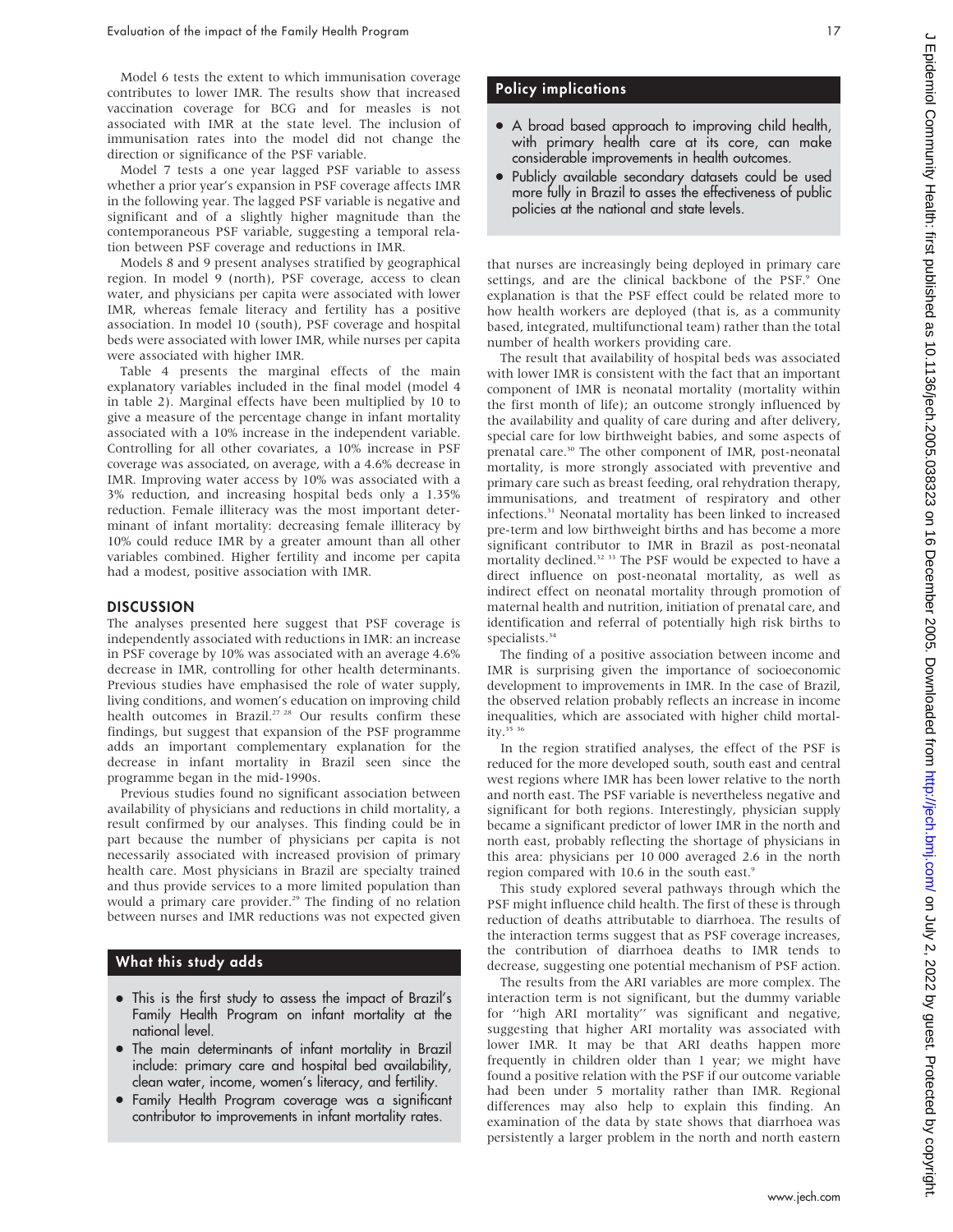Model 6 tests the extent to which immunisation coverage contributes to lower IMR. The results show that increased vaccination coverage for BCG and for measles is not associated with IMR at the state level. The inclusion of immunisation rates into the model did not change the direction or significance of the PSF variable.

Model 7 tests a one year lagged PSF variable to assess whether a prior year's expansion in PSF coverage affects IMR in the following year. The lagged PSF variable is negative and significant and of a slightly higher magnitude than the contemporaneous PSF variable, suggesting a temporal relation between PSF coverage and reductions in IMR.

Models 8 and 9 present analyses stratified by geographical region. In model 9 (north), PSF coverage, access to clean water, and physicians per capita were associated with lower IMR, whereas female literacy and fertility has a positive association. In model 10 (south), PSF coverage and hospital beds were associated with lower IMR, while nurses per capita were associated with higher IMR.

Table 4 presents the marginal effects of the main explanatory variables included in the final model (model 4 in table 2). Marginal effects have been multiplied by 10 to give a measure of the percentage change in infant mortality associated with a 10% increase in the independent variable. Controlling for all other covariates, a 10% increase in PSF coverage was associated, on average, with a 4.6% decrease in IMR. Improving water access by 10% was associated with a 3% reduction, and increasing hospital beds only a 1.35% reduction. Female illiteracy was the most important determinant of infant mortality: decreasing female illiteracy by 10% could reduce IMR by a greater amount than all other variables combined. Higher fertility and income per capita had a modest, positive association with IMR.

# DISCUSSION

The analyses presented here suggest that PSF coverage is independently associated with reductions in IMR: an increase in PSF coverage by 10% was associated with an average 4.6% decrease in IMR, controlling for other health determinants. Previous studies have emphasised the role of water supply, living conditions, and women's education on improving child health outcomes in Brazil.<sup>27</sup> <sup>28</sup> Our results confirm these findings, but suggest that expansion of the PSF programme adds an important complementary explanation for the decrease in infant mortality in Brazil seen since the programme began in the mid-1990s.

Previous studies found no significant association between availability of physicians and reductions in child mortality, a result confirmed by our analyses. This finding could be in part because the number of physicians per capita is not necessarily associated with increased provision of primary health care. Most physicians in Brazil are specialty trained and thus provide services to a more limited population than would a primary care provider.<sup>29</sup> The finding of no relation between nurses and IMR reductions was not expected given

# What this study adds

- This is the first study to assess the impact of Brazil's Family Health Program on infant mortality at the national level.
- The main determinants of infant mortality in Brazil include: primary care and hospital bed availability, clean water, income, women's literacy, and fertility.
- Family Health Program coverage was a significant contributor to improvements in infant mortality rates.

# Policy implications

- A broad based approach to improving child health, with primary health care at its core, can make considerable improvements in health outcomes.
- Publicly available secondary datasets could be used more fully in Brazil to asses the effectiveness of public policies at the national and state levels.

that nurses are increasingly being deployed in primary care settings, and are the clinical backbone of the PSF.<sup>9</sup> One explanation is that the PSF effect could be related more to how health workers are deployed (that is, as a community based, integrated, multifunctional team) rather than the total number of health workers providing care.

The result that availability of hospital beds was associated with lower IMR is consistent with the fact that an important component of IMR is neonatal mortality (mortality within the first month of life); an outcome strongly influenced by the availability and quality of care during and after delivery, special care for low birthweight babies, and some aspects of prenatal care.<sup>30</sup> The other component of IMR, post-neonatal mortality, is more strongly associated with preventive and primary care such as breast feeding, oral rehydration therapy, immunisations, and treatment of respiratory and other infections.31 Neonatal mortality has been linked to increased pre-term and low birthweight births and has become a more significant contributor to IMR in Brazil as post-neonatal mortality declined.<sup>32</sup> <sup>33</sup> The PSF would be expected to have a direct influence on post-neonatal mortality, as well as indirect effect on neonatal mortality through promotion of maternal health and nutrition, initiation of prenatal care, and identification and referral of potentially high risk births to specialists.<sup>34</sup>

The finding of a positive association between income and IMR is surprising given the importance of socioeconomic development to improvements in IMR. In the case of Brazil, the observed relation probably reflects an increase in income inequalities, which are associated with higher child mortality.35 36

In the region stratified analyses, the effect of the PSF is reduced for the more developed south, south east and central west regions where IMR has been lower relative to the north and north east. The PSF variable is nevertheless negative and significant for both regions. Interestingly, physician supply became a significant predictor of lower IMR in the north and north east, probably reflecting the shortage of physicians in this area: physicians per 10 000 averaged 2.6 in the north region compared with 10.6 in the south east.<sup>9</sup>

This study explored several pathways through which the PSF might influence child health. The first of these is through reduction of deaths attributable to diarrhoea. The results of the interaction terms suggest that as PSF coverage increases, the contribution of diarrhoea deaths to IMR tends to decrease, suggesting one potential mechanism of PSF action.

The results from the ARI variables are more complex. The interaction term is not significant, but the dummy variable for ''high ARI mortality'' was significant and negative, suggesting that higher ARI mortality was associated with lower IMR. It may be that ARI deaths happen more frequently in children older than 1 year; we might have found a positive relation with the PSF if our outcome variable had been under 5 mortality rather than IMR. Regional differences may also help to explain this finding. An examination of the data by state shows that diarrhoea was persistently a larger problem in the north and north eastern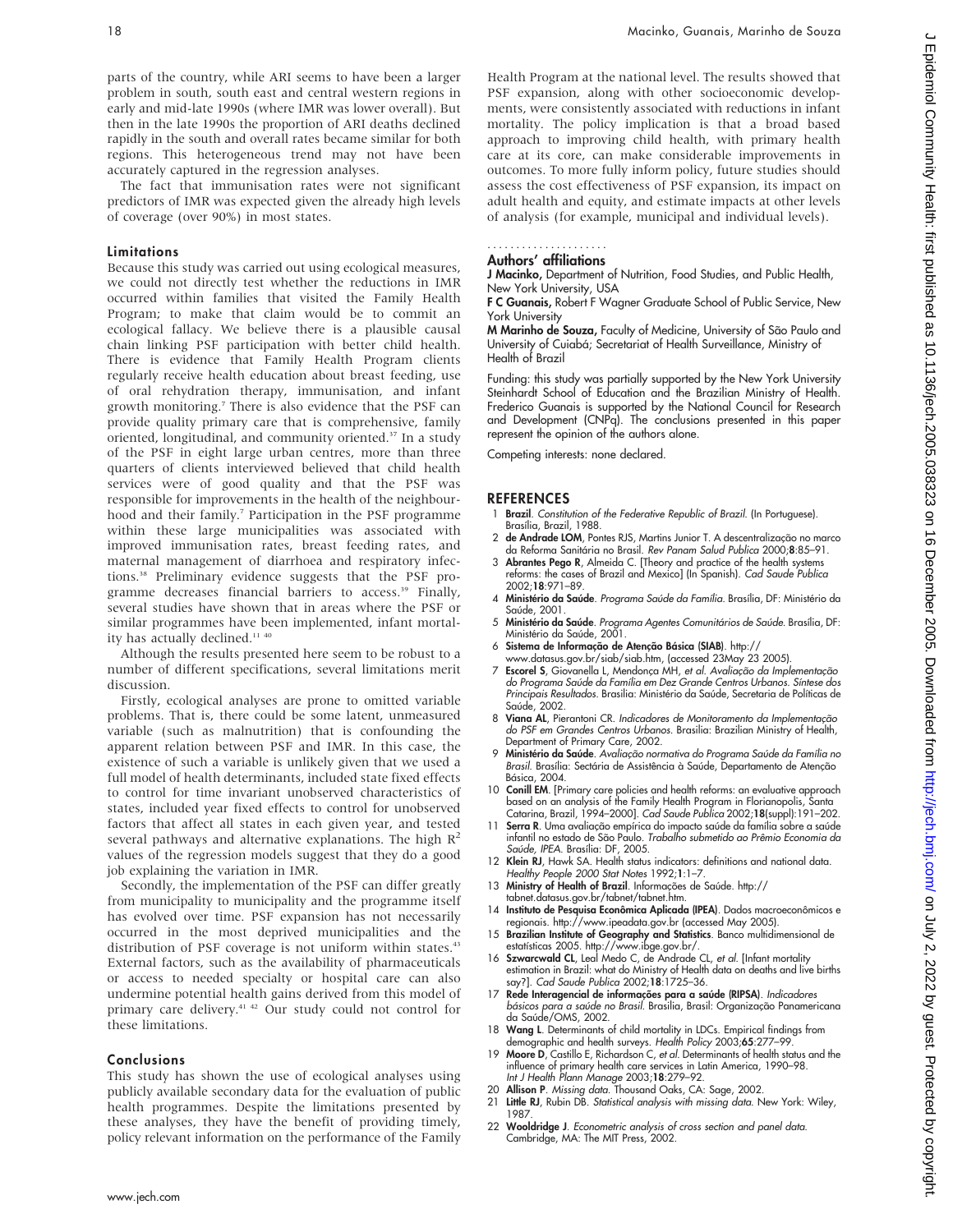parts of the country, while ARI seems to have been a larger problem in south, south east and central western regions in early and mid-late 1990s (where IMR was lower overall). But then in the late 1990s the proportion of ARI deaths declined rapidly in the south and overall rates became similar for both regions. This heterogeneous trend may not have been accurately captured in the regression analyses.

The fact that immunisation rates were not significant predictors of IMR was expected given the already high levels of coverage (over 90%) in most states.

### **Limitations**

Because this study was carried out using ecological measures, we could not directly test whether the reductions in IMR occurred within families that visited the Family Health Program; to make that claim would be to commit an ecological fallacy. We believe there is a plausible causal chain linking PSF participation with better child health. There is evidence that Family Health Program clients regularly receive health education about breast feeding, use of oral rehydration therapy, immunisation, and infant growth monitoring.7 There is also evidence that the PSF can provide quality primary care that is comprehensive, family oriented, longitudinal, and community oriented.<sup>37</sup> In a study of the PSF in eight large urban centres, more than three quarters of clients interviewed believed that child health services were of good quality and that the PSF was responsible for improvements in the health of the neighbourhood and their family.<sup>7</sup> Participation in the PSF programme within these large municipalities was associated with improved immunisation rates, breast feeding rates, and maternal management of diarrhoea and respiratory infections.<sup>38</sup> Preliminary evidence suggests that the PSF programme decreases financial barriers to access.<sup>39</sup> Finally, several studies have shown that in areas where the PSF or similar programmes have been implemented, infant mortality has actually declined.<sup>11 40</sup>

Although the results presented here seem to be robust to a number of different specifications, several limitations merit discussion.

Firstly, ecological analyses are prone to omitted variable problems. That is, there could be some latent, unmeasured variable (such as malnutrition) that is confounding the apparent relation between PSF and IMR. In this case, the existence of such a variable is unlikely given that we used a full model of health determinants, included state fixed effects to control for time invariant unobserved characteristics of states, included year fixed effects to control for unobserved factors that affect all states in each given year, and tested several pathways and alternative explanations. The high  $R^2$ values of the regression models suggest that they do a good job explaining the variation in IMR.

Secondly, the implementation of the PSF can differ greatly from municipality to municipality and the programme itself has evolved over time. PSF expansion has not necessarily occurred in the most deprived municipalities and the distribution of PSF coverage is not uniform within states.<sup>43</sup> External factors, such as the availability of pharmaceuticals or access to needed specialty or hospital care can also undermine potential health gains derived from this model of primary care delivery.<sup>41 42</sup> Our study could not control for these limitations.

# Conclusions

This study has shown the use of ecological analyses using publicly available secondary data for the evaluation of public health programmes. Despite the limitations presented by these analyses, they have the benefit of providing timely, policy relevant information on the performance of the Family

Health Program at the national level. The results showed that PSF expansion, along with other socioeconomic developments, were consistently associated with reductions in infant mortality. The policy implication is that a broad based approach to improving child health, with primary health care at its core, can make considerable improvements in outcomes. To more fully inform policy, future studies should assess the cost effectiveness of PSF expansion, its impact on adult health and equity, and estimate impacts at other levels of analysis (for example, municipal and individual levels).

#### Authors' affiliations .....................

J Macinko, Department of Nutrition, Food Studies, and Public Health, New York University, USA

F C Guanais, Robert F Wagner Graduate School of Public Service, New York University

M Marinho de Souza, Faculty of Medicine, University of São Paulo and University of Cuiabá; Secretariat of Health Surveillance, Ministry of Health of Brazil

Funding: this study was partially supported by the New York University Steinhardt School of Education and the Brazilian Ministry of Health. Frederico Guanais is supported by the National Council for Research and Development (CNPq). The conclusions presented in this paper represent the opinion of the authors alone.

Competing interests: none declared.

#### **REFERENCES**

- 1 Brazil. Constitution of the Federative Republic of Brazil. (In Portuguese). Brasília, Brazil, 1988.
- 2 de Andrade LOM, Pontes RJS, Martins Junior T. A descentralização no marco da Reforma Sanitária no Brasil. Rev Panam Salud Publica 2000;8:85–91.
- 3 Abrantes Pego R, Almeida C. [Theory and practice of the health systems reforms: the cases of Brazil and Mexico] (In Spanish). Cad Saude Publica 2002;18:971–89.
- 4 Ministério da Saúde. Programa Saúde da Família. Brasília, DF: Ministério da Saúde, 2001.
- 5 Ministério da Saúde. Programa Agentes Comunitários de Saúde. Brasília, DF: Ministério da Saúde, 2001.
- 6 Sistema de Informação de Atenção Básica (SIAB). http:// www.datasus.gov.br/siab/siab.htm, (accessed 23May 23 2005).
- 7 Escorel S, Giovanella L, Mendonça MH, et al. Avaliação da Implementação do Programa Saúde da Família em Dez Grande Centros Urbanos. Síntese dos Principais Resultados. Brasilia: Ministério da Saúde, Secretaria de Políticas de Saúde, 2002.
- 8 Viana AL, Pierantoni CR. Indicadores de Monitoramento da Implementação do PSF em Grandes Centros Urbanos. Brasilia: Brazilian Ministry of Health, Department of Primary Care, 2002.
- 9 Ministério da Saúde. Avaliação normativa do Programa Saúde da Família no Brasil. Brasília: Sectária de Assistência à Saúde, Departamento de Atenção Básica, 2004.
- 10 **Conill EM**. [Primary care policies and health reforms: an evaluative approach<br>based on an analysis of the Family Health Program in Florianopolis, Santa<br>Catarina, Brazil, 1994–2000]. *Cad Saude Publica* 2002;**18(**suppl)
- 11 Serra R. Uma avaliação empírica do impacto saúde da família sobre a saúde infantil no estado de São Paulo. Trabalho submetido ao Prêmio Economia da Saúde, IPEA. Brasília: DF, 2005.
- 12 Klein RJ, Hawk SA. Health status indicators: definitions and national data. Healthy People 2000 Stat Notes 1992;1:1-7
- 13 Ministry of Health of Brazil. Informações de Saúde. http:// tabnet.datasus.gov.br/tabnet/tabnet.htm.
- 14 Instituto de Pesquisa Econômica Aplicada (IPEA). Dados macroeconômicos e regionais. http://www.ipeadata.gov.br (accessed May 2005).
- 15 Brazilian Institute of Geography and Statistics. Banco multidimensional de
- estatísticas 2005. http://www.ibge.gov.br/.<br>16 Szwarcwald CL, Leal Medo C, de Andrade CL, *et al.* [Infant mortality estimation in Brazil: what do Ministry of Health data on deaths and live births say?]. Cad Saude Publica 2002;18:1725–36.
- 17 Rede Interagencial de informações para a saúde (RIPSA). Indicadores básicos para a saúde no Brasil. Brasilia, Brasil: Organização Panamericana da Saúde/OMS, 2002.
- 18 Wang L. Determinants of child mortality in LDCs. Empirical findings from demographic and health surveys. Health Policy 2003;65:277–99.
- 19 Moore D, Castillo E, Richardson C, et al. Determinants of health status and the influence of primary health care services in Latin America, 1990–98. Int J Health Plann Manage 2003;18:279–92.
- 20 **Allison P**. Missing data. Thousand Oaks, CA: Sage, 2002.<br>21 **Little RJ** Rubin DB, *Statistical analysis with missing data* N
- Little RJ, Rubin DB. Statistical analysis with missing data. New York: Wiley, 1987.
- 22 Wooldridge J. Econometric analysis of cross section and panel data. Cambridge, MA: The MIT Press, 2002.